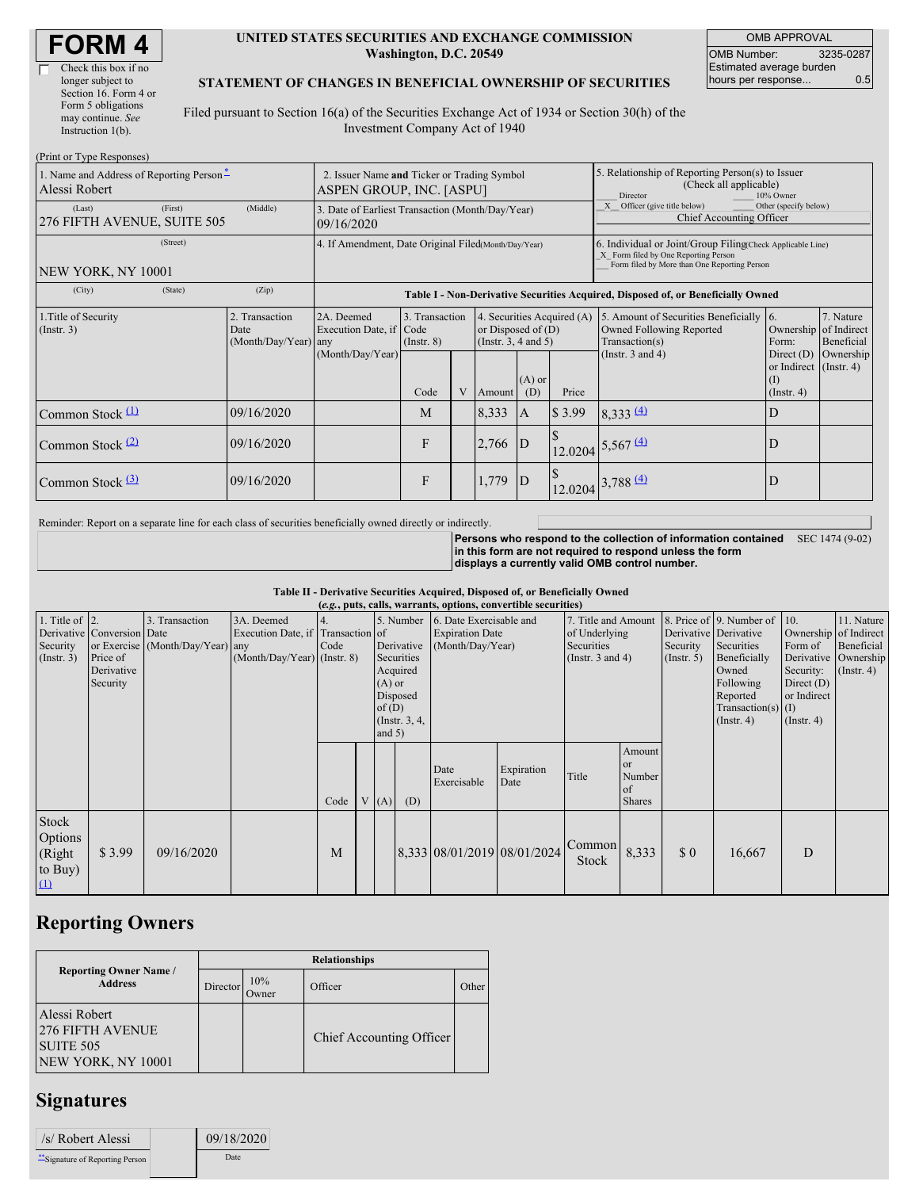| <b>FORM4</b> |
|--------------|
|--------------|

#### **UNITED STATES SECURITIES AND EXCHANGE COMMISSION Washington, D.C. 20549**

OMB APPROVAL OMB Number: 3235-0287 Estimated average burden hours per response... 0.5

#### **STATEMENT OF CHANGES IN BENEFICIAL OWNERSHIP OF SECURITIES**

Filed pursuant to Section 16(a) of the Securities Exchange Act of 1934 or Section 30(h) of the Investment Company Act of 1940

| (Print or Type Responses)                                 |                                                                         |                                                |                                                                                  |                                   |   |                                                                                |                                                                                                     |        |                                                                                                                                                    |                                                                         |                         |
|-----------------------------------------------------------|-------------------------------------------------------------------------|------------------------------------------------|----------------------------------------------------------------------------------|-----------------------------------|---|--------------------------------------------------------------------------------|-----------------------------------------------------------------------------------------------------|--------|----------------------------------------------------------------------------------------------------------------------------------------------------|-------------------------------------------------------------------------|-------------------------|
| 1. Name and Address of Reporting Person-<br>Alessi Robert | 2. Issuer Name and Ticker or Trading Symbol<br>ASPEN GROUP, INC. [ASPU] |                                                |                                                                                  |                                   |   |                                                                                | 5. Relationship of Reporting Person(s) to Issuer<br>(Check all applicable)<br>Director<br>10% Owner |        |                                                                                                                                                    |                                                                         |                         |
| (Last)<br>276 FIFTH AVENUE, SUITE 505                     | 3. Date of Earliest Transaction (Month/Day/Year)<br>09/16/2020          |                                                |                                                                                  |                                   |   |                                                                                | X Officer (give title below)<br>Other (specify below)<br>Chief Accounting Officer                   |        |                                                                                                                                                    |                                                                         |                         |
| (Street)<br>NEW YORK, NY 10001                            |                                                                         |                                                | 4. If Amendment, Date Original Filed(Month/Day/Year)                             |                                   |   |                                                                                |                                                                                                     |        | 6. Individual or Joint/Group Filing Check Applicable Line)<br>X Form filed by One Reporting Person<br>Form filed by More than One Reporting Person |                                                                         |                         |
| (City)                                                    | (State)                                                                 | (Zip)                                          | Table I - Non-Derivative Securities Acquired, Disposed of, or Beneficially Owned |                                   |   |                                                                                |                                                                                                     |        |                                                                                                                                                    |                                                                         |                         |
| 1. Title of Security<br>$($ Instr. 3 $)$                  |                                                                         | 2. Transaction<br>Date<br>(Month/Day/Year) any | 2A. Deemed<br>Execution Date, if Code<br>(Month/Day/Year)                        | 3. Transaction<br>$($ Instr. $8)$ |   | 4. Securities Acquired (A)<br>or Disposed of $(D)$<br>(Instr. $3, 4$ and $5$ ) |                                                                                                     |        | 5. Amount of Securities Beneficially<br>Owned Following Reported<br>Transaction(s)                                                                 | <b>16.</b><br>Ownership of Indirect<br>Form:                            | 7. Nature<br>Beneficial |
|                                                           |                                                                         |                                                |                                                                                  | Code                              | V | Amount                                                                         | $(A)$ or<br>(D)                                                                                     | Price  | (Instr. $3$ and $4$ )                                                                                                                              | Direct $(D)$<br>or Indirect $($ Instr. 4 $)$<br>(I)<br>$($ Instr. 4 $)$ | Ownership               |
| Common Stock $(1)$                                        |                                                                         | 09/16/2020                                     |                                                                                  | M                                 |   | 8,333                                                                          | A                                                                                                   | \$3.99 | 8,333(4)                                                                                                                                           | D                                                                       |                         |
| Common Stock $(2)$                                        |                                                                         | 09/16/2020                                     |                                                                                  | $\mathbf{F}$                      |   | 2,766                                                                          | $\overline{D}$                                                                                      |        | $12.0204 \overline{\smash{\big)}\,5,567 \,\underline{\underline{(4)}}}$                                                                            | D                                                                       |                         |
| Common Stock $(3)$                                        |                                                                         | 09/16/2020                                     |                                                                                  | F                                 |   | 1,779                                                                          | ID                                                                                                  |        | $12.0204\left 3,788\right.$ (4)                                                                                                                    | D                                                                       |                         |

Reminder: Report on a separate line for each class of securities beneficially owned directly or indirectly.

**Persons who respond to the collection of information contained in this form are not required to respond unless the form displays a currently valid OMB control number.** SEC 1474 (9-02)

**Table II - Derivative Securities Acquired, Disposed of, or Beneficially Owned**

| (e.g., puts, calls, warrants, options, convertible securities) |                            |                                  |                                   |      |  |            |               |                             |                                   |                     |               |                       |                              |                       |                  |
|----------------------------------------------------------------|----------------------------|----------------------------------|-----------------------------------|------|--|------------|---------------|-----------------------------|-----------------------------------|---------------------|---------------|-----------------------|------------------------------|-----------------------|------------------|
| 1. Title of $\vert$ 2.                                         |                            | 3. Transaction                   | 3A. Deemed                        |      |  | 5. Number  |               | 6. Date Exercisable and     |                                   | 7. Title and Amount |               |                       | 8. Price of 9. Number of 10. |                       | 11. Nature       |
|                                                                | Derivative Conversion Date |                                  | Execution Date, if Transaction of |      |  |            |               | <b>Expiration Date</b>      |                                   | of Underlying       |               | Derivative Derivative |                              | Ownership of Indirect |                  |
| Security                                                       |                            | or Exercise (Month/Day/Year) any |                                   | Code |  | Derivative |               | (Month/Day/Year)            |                                   | Securities          |               | Security              | Securities                   | Form of               | Beneficial       |
| $($ Instr. 3 $)$                                               | Price of                   |                                  | $(Month/Day/Year)$ (Instr. 8)     |      |  |            | Securities    |                             | (Instr. 3 and 4)<br>$($ Instr. 5) |                     | Beneficially  |                       | Derivative Ownership         |                       |                  |
|                                                                | Derivative                 |                                  |                                   |      |  |            | Acquired      |                             |                                   |                     |               |                       | Owned                        | Security:             | $($ Instr. 4 $)$ |
|                                                                | Security                   |                                  |                                   |      |  | $(A)$ or   |               |                             |                                   |                     |               |                       | Following                    | Direct $(D)$          |                  |
|                                                                |                            |                                  |                                   |      |  |            | Disposed      |                             |                                   |                     |               |                       | Reported                     | or Indirect           |                  |
|                                                                |                            |                                  |                                   |      |  | of $(D)$   |               |                             |                                   |                     |               |                       | Transaction(s) $(I)$         |                       |                  |
|                                                                |                            |                                  |                                   |      |  |            | (Instr. 3, 4, |                             |                                   |                     |               | $($ Instr. 4 $)$      | $($ Instr. 4 $)$             |                       |                  |
|                                                                |                            |                                  |                                   |      |  |            | and $5)$      |                             |                                   |                     |               |                       |                              |                       |                  |
|                                                                |                            |                                  |                                   |      |  |            |               |                             |                                   |                     | Amount        |                       |                              |                       |                  |
|                                                                |                            |                                  |                                   |      |  |            |               | Date                        | Expiration                        |                     | or            |                       |                              |                       |                  |
|                                                                |                            |                                  |                                   |      |  |            |               | Exercisable                 | Date                              | Title               | Number        |                       |                              |                       |                  |
|                                                                |                            |                                  |                                   |      |  |            |               |                             |                                   |                     | of            |                       |                              |                       |                  |
|                                                                |                            |                                  |                                   | Code |  | V(A)       | (D)           |                             |                                   |                     | <b>Shares</b> |                       |                              |                       |                  |
| Stock                                                          |                            |                                  |                                   |      |  |            |               |                             |                                   |                     |               |                       |                              |                       |                  |
| Options                                                        |                            |                                  |                                   |      |  |            |               |                             |                                   |                     |               |                       |                              |                       |                  |
|                                                                |                            | 09/16/2020                       |                                   | M    |  |            |               | 8,333 08/01/2019 08/01/2024 |                                   | Common              | 8,333         | $\Omega$              |                              | D                     |                  |
| (Right                                                         | \$3.99                     |                                  |                                   |      |  |            |               |                             |                                   | Stock               |               |                       | 16,667                       |                       |                  |
| to Buy)                                                        |                            |                                  |                                   |      |  |            |               |                             |                                   |                     |               |                       |                              |                       |                  |
| $\mathbf{u}$                                                   |                            |                                  |                                   |      |  |            |               |                             |                                   |                     |               |                       |                              |                       |                  |

# **Reporting Owners**

|                                                                             | <b>Relationships</b> |              |                          |              |  |  |  |  |  |
|-----------------------------------------------------------------------------|----------------------|--------------|--------------------------|--------------|--|--|--|--|--|
| <b>Reporting Owner Name /</b><br><b>Address</b>                             | Director             | 10%<br>Owner | Officer                  | <b>Other</b> |  |  |  |  |  |
| Alessi Robert<br><b>276 FIFTH AVENUE</b><br>SUITE 505<br>NEW YORK, NY 10001 |                      |              | Chief Accounting Officer |              |  |  |  |  |  |

## **Signatures**

| /s/ Robert Alessi              | 09/18/2020 |
|--------------------------------|------------|
| "Signature of Reporting Person | Date       |